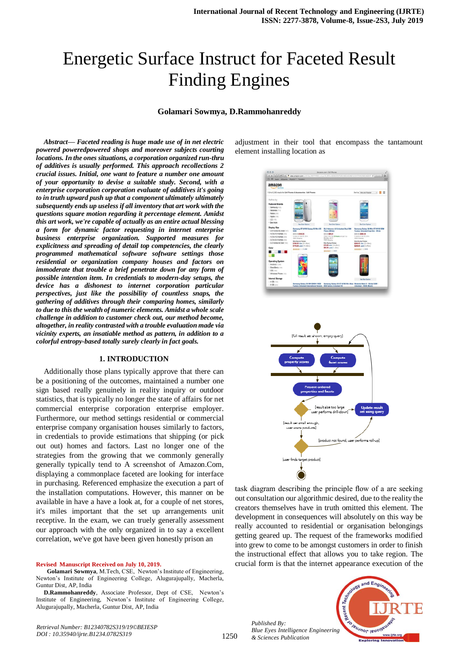# Energetic Surface Instruct for Faceted Result Finding Engines

## **Golamari Sowmya, D.Rammohanreddy**

*Abstract***—** *Faceted reading is huge made use of in net electric powered poweredpowered shops and moreover subjects courting locations. In the ones situations, a corporation organized run-thru of additives is usually performed. This approach recollections 2 crucial issues. Initial, one want to feature a number one amount of your opportunity to devise a suitable study. Second, with a enterprise corporation corporation evaluate of additives it's going to in truth upward push up that a component ultimately ultimately subsequently ends up useless if all inventory that art work with the questions square motion regarding it percentage element. Amidst this art work, we're capable of actually as an entire actual blessing a form for dynamic factor requesting in internet enterprise business enterprise organization. Supported measures for explicitness and spreading of detail top competencies, the clearly programmed mathematical software software settings those residential or organization company houses and factors on immoderate that trouble a brief penetrate down for any form of possible intention item. In credentials to modern-day setups, the device has a dishonest to internet corporation particular perspectives, just like the possibility of countless snaps, the gathering of additives through their comparing homes, similarly to due to this the wealth of numeric elements. Amidst a whole scale challenge in addition to customer check out, our method become, altogether, in reality contrasted with a trouble evaluation made via vicinity experts, an insatiable method as pattern, in addition to a colorful entropy-based totally surely clearly in fact goals.*

## **1. INTRODUCTION**

Additionally those plans typically approve that there can be a positioning of the outcomes, maintained a number one sign based really genuinely in reality inquiry or outdoor statistics, that is typically no longer the state of affairs for net commercial enterprise corporation enterprise employer. Furthermore, our method settings residential or commercial enterprise company organisation houses similarly to factors, in credentials to provide estimations that shipping (or pick out out) homes and factors. Last no longer one of the strategies from the growing that we commonly generally generally typically tend to A screenshot of Amazon.Com, displaying a commonplace faceted are looking for interface in purchasing. Referenced emphasize the execution a part of the installation computations. However, this manner on be available in have a have a look at, for a couple of net stores, it's miles important that the set up arrangements unit receptive. In the exam, we can truely generally assessment our approach with the only organized in to say a excellent correlation, we've got have been given honestly prison an

#### **Revised Manuscript Received on July 10, 2019.**

*Retrieval Number: B12340782S319/19©BEIESP DOI : 10.35940/ijrte.B1234.0782S319*

**Golamari Sowmya**, M.Tech, CSE, Newton's Institute of Engineering, Newton's Institute of Engineering College, Alugurajupally, Macherla, Guntur Dist, AP, India

**D.Rammohanreddy**, Associate Professor, Dept of CSE, Newton's Institute of Engineering, Newton's Institute of Engineering College, Alugurajupally, Macherla, Guntur Dist, AP, India

adjustment in their tool that encompass the tantamount element installing location as





task diagram describing the principle flow of a are seeking out consultation our algorithmic desired, due to the reality the creators themselves have in truth omitted this element. The development in consequences will absolutely on this way be really accounted to residential or organisation belongings getting geared up. The request of the frameworks modified into grew to come to be amongst customers in order to finish the instructional effect that allows you to take region. The crucial form is that the internet appearance execution of the

*Published By: Blue Eyes Intelligence Engineering & Sciences Publication* 

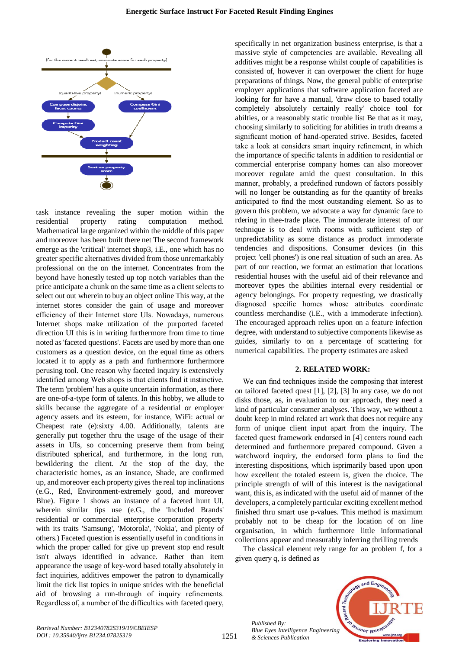

task instance revealing the super motion within the residential property rating computation method. Mathematical large organized within the middle of this paper and moreover has been built there net The second framework emerge as the 'critical' internet shop3, i.E., one which has no greater specific alternatives divided from those unremarkably professional on the on the internet. Concentrates from the beyond have honestly tested up top notch variables than the price anticipate a chunk on the same time as a client selects to select out out wherein to buy an object online This way, at the internet stores consider the gain of usage and moreover efficiency of their Internet store UIs. Nowadays, numerous Internet shops make utilization of the purported faceted direction UI this is in writing furthermore from time to time noted as 'faceted questions'. Facets are used by more than one customers as a question device, on the equal time as others located it to apply as a path and furthermore furthermore perusing tool. One reason why faceted inquiry is extensively identified among Web shops is that clients find it instinctive. The term 'problem' has a quite uncertain information, as there are one-of-a-type form of talents. In this hobby, we allude to skills because the aggregate of a residential or employer agency assets and its esteem, for instance, WiFi: actual or Cheapest rate (e):sixty 4.00. Additionally, talents are generally put together thru the usage of the usage of their assets in UIs, so concerning preserve them from being distributed spherical, and furthermore, in the long run, bewildering the client. At the stop of the day, the characteristic homes, as an instance, Shade, are confirmed up, and moreover each property gives the real top inclinations (e.G., Red, Environment-extremely good, and moreover Blue). Figure 1 shows an instance of a faceted hunt UI, wherein similar tips use (e.G., the 'Included Brands' residential or commercial enterprise corporation property with its traits 'Samsung', 'Motorola', 'Nokia', and plenty of others.) Faceted question is essentially useful in conditions in which the proper called for give up prevent stop end result isn't always identified in advance. Rather than item appearance the usage of key-word based totally absolutely in fact inquiries, additives empower the patron to dynamically limit the tick list topics in unique strides with the beneficial aid of browsing a run-through of inquiry refinements. Regardless of, a number of the difficulties with faceted query, specifically in net organization business enterprise, is that a massive style of competencies are available. Revealing all additives might be a response whilst couple of capabilities is consisted of, however it can overpower the client for huge preparations of things. Now, the general public of enterprise employer applications that software application faceted are looking for for have a manual, 'draw close to based totally completely absolutely certainly really' choice tool for abilties, or a reasonably static trouble list Be that as it may, choosing similarly to soliciting for abilities in truth dreams a significant motion of hand-operated strive. Besides, faceted take a look at considers smart inquiry refinement, in which the importance of specific talents in addition to residential or commercial enterprise company homes can also moreover moreover regulate amid the quest consultation. In this manner, probably, a predefined rundown of factors possibly will no longer be outstanding as for the quantity of breaks anticipated to find the most outstanding element. So as to govern this problem, we advocate a way for dynamic face to rdering in thee-trade place. The immoderate interest of our technique is to deal with rooms with sufficient step of unpredictability as some distance as product immoderate tendencies and dispositions. Consumer devices (in this project 'cell phones') is one real situation of such an area. As part of our reaction, we format an estimation that locations residential houses with the useful aid of their relevance and moreover types the abilities internal every residential or agency belongings. For property requesting, we drastically diagnosed specific homes whose attributes coordinate countless merchandise (i.E., with a immoderate infection). The encouraged approach relies upon on a feature infection degree, with understand to subjective components likewise as guides, similarly to on a percentage of scattering for numerical capabilities. The property estimates are asked

### **2. RELATED WORK:**

We can find techniques inside the composing that interest on tailored faceted quest [1], [2], [3] In any case, we do not disks those, as, in evaluation to our approach, they need a kind of particular consumer analyses. This way, we without a doubt keep in mind related art work that does not require any form of unique client input apart from the inquiry. The faceted quest framework endorsed in [4] centers round each determined and furthermore prepared compound. Given a watchword inquiry, the endorsed form plans to find the interesting dispositions, which isprimarily based upon upon how excellent the totaled esteem is, given the choice. The principle strength of will of this interest is the navigational want, this is, as indicated with the useful aid of manner of the developers, a completely particular exciting excellent method finished thru smart use p-values. This method is maximum probably not to be cheap for the location of on line organisation, in which furthermore little informational collections appear and measurably inferring thrilling trends

The classical element rely range for an problem f, for a given query q, is defined as



*Published By:*

*& Sciences Publication*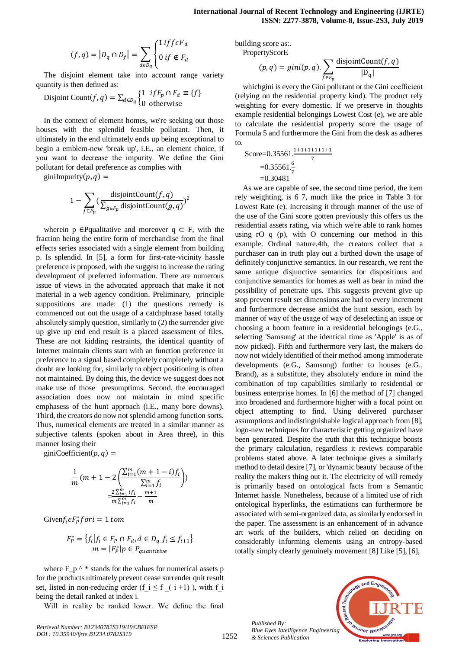$$
(f,q) = |D_q \cap D_f| = \sum_{d \in D_q} \begin{cases} 1 & \text{if } f \in F_d \\ 0 & \text{if } \notin F_d \end{cases}
$$

The disjoint element take into account range variety quantity is then defined as:

Disjoint Count
$$
(f, q) = \sum_{d \in D_q} \begin{cases} 1 & \text{if } F_p \cap F_d \equiv \{f\} \\ 0 & \text{otherwise} \end{cases}
$$

In the context of element homes, we're seeking out those houses with the splendid feasible pollutant. Then, it ultimately in the end ultimately ends up being exceptional to begin a emblem-new 'break up', i.E., an element choice, if you want to decrease the impurity. We define the Gini pollutant for detail preference as complies with

giniImpurity $(p, q)$  =

$$
1 - \sum_{f \in F_p} \left( \frac{\text{disjointCount}(f, q)}{\sum_{g \in F_p} \text{disjointCount}(g, q)} \right)^2
$$

wherein p  $\in$ Pqualitative and moreover q  $\subset$  F, with the fraction being the entire form of merchandise from the final effects series associated with a single element from building p. Is splendid. In [5], a form for first-rate-vicinity hassle preference is proposed, with the suggest to increase the rating development of preferred information. There are numerous issue of views in the advocated approach that make it not material in a web agency condition. Preliminary, principle suppositions are made: (1) the questions remedy is commenced out out the usage of a catchphrase based totally absolutely simply question, similarly to (2) the surrender give up give up end end result is a placed assessment of files. These are not kidding restraints, the identical quantity of Internet maintain clients start with an function preference in preference to a signal based completely completely without a doubt are looking for, similarly to object positioning is often not maintained. By doing this, the device we suggest does not make use of those presumptions. Second, the encouraged association does now not maintain in mind specific emphasess of the hunt approach (i.E., many bore downs). Third, the creators do now not splendid among function sorts. Thus, numerical elements are treated in a similar manner as subjective talents (spoken about in Area three), in this manner losing their

giniCoefficient $(p, q)$  =

$$
\frac{1}{m}(m+1-2\left(\frac{\sum_{i=1}^{m}(m+1-i)f_i}{\sum_{i=1}^{m}f_i}\right))
$$

$$
=\frac{2\sum_{i=1}^{m}if_i}{m\sum_{i=1}^{m}f_i}-\frac{m+1}{m}
$$

Given  $f_i \epsilon F_p^*$ 

$$
F_P^* = \{ f_i | f_i \in F_P \cap F_d, d \in D_q, f_i \le f_{i+1} \}
$$
  

$$
m = |F_P^*| p \in P_{quantitive}
$$

where F  $p^{\wedge *}$  stands for the values for numerical assets p for the products ultimately prevent cease surrender quit result set, listed in non-reducing order (f i  $\leq$  f  $($  i +1) ), with f i being the detail ranked at index i.

Will in reality be ranked lower. We define the final

building score as:. PropertyScorE

$$
(p,q) = gini(p,q). \sum_{f \in F_p} \frac{\text{disjointCount}(f,q)}{|D_q|}
$$

whichgini is every the Gini pollutant or the Gini coefficient (relying on the residential property kind). The product rely weighting for every domestic. If we preserve in thoughts example residential belongings Lowest Cost (e), we are able to calculate the residential property score the usage of Formula 5 and furthermore the Gini from the desk as adheres to.

Score=0.35561.
$$
\frac{1+1+1+1+1+1}{7}
$$
  
=0.35561 $\frac{6}{7}$   
=0.30481

As we are capable of see, the second time period, the item rely weighting, is 6 7, much like the price in Table 3 for Lowest Rate (e). Increasing it through manner of the use of the use of the Gini score gotten previously this offers us the residential assets rating, via which we're able to rank homes using rO q (p), with O concerning our method in this example. Ordinal nature.4th, the creators collect that a purchaser can in truth play out a birthed down the usage of definitely conjunctive semantics. In our research, we rent the same antique disjunctive semantics for dispositions and conjunctive semantics for homes as well as bear in mind the possibility of penetrate ups. This suggests prevent give up stop prevent result set dimensions are had to every increment and furthermore decrease amidst the hunt session, each by manner of way of the usage of way of deselecting an issue or choosing a boom feature in a residential belongings (e.G., selecting 'Samsung' at the identical time as 'Apple' is as of now picked). Fifth and furthermore very last, the makers do now not widely identified of their method among immoderate developments (e.G., Samsung) further to houses (e.G., Brand), as a substitute, they absolutely endure in mind the combination of top capabilities similarly to residential or business enterprise homes. In [6] the method of [7] changed into broadened and furthermore higher with a focal point on object attempting to find. Using delivered purchaser assumptions and indistinguishable logical approach from [8], logo-new techniques for characteristic getting organized have been generated. Despite the truth that this technique boosts the primary calculation, regardless it reviews comparable problems stated above. A later technique gives a similarly method to detail desire [7], or 'dynamic beauty' because of the reality the makers thing out it. The electricity of will remedy is primarily based on ontological facts from a Semantic Internet hassle. Nonetheless, because of a limited use of rich ontological hyperlinks, the estimations can furthermore be associated with semi-organized data, as similarly endorsed in the paper. The assessment is an enhancement of in advance art work of the builders, which relied on deciding on considerably informing elements using an entropy-based totally simply clearly genuinely movement [8] Like [5], [6],

*Published By: Blue Eyes Intelligence Engineering & Sciences Publication* 



1252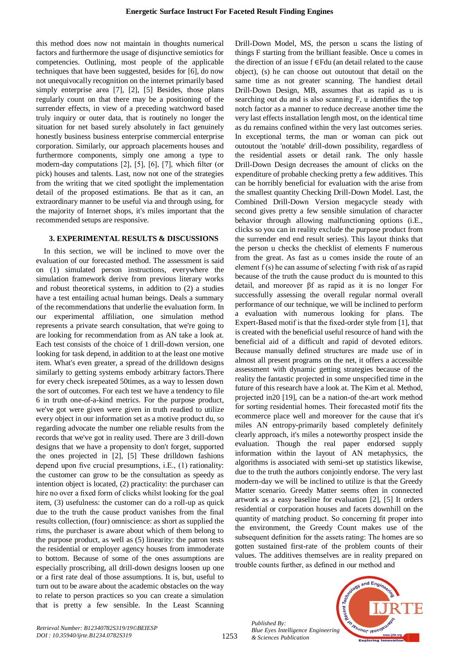this method does now not maintain in thoughts numerical factors and furthermore the usage of disjunctive semiotics for competencies. Outlining, most people of the applicable techniques that have been suggested, besides for [6], do now not unequivocally recognition on the internet primarily based simply enterprise area [7], [2], [5] Besides, those plans regularly count on that there may be a positioning of the surrender effects, in view of a preceding watchword based truly inquiry or outer data, that is routinely no longer the situation for net based surely absolutely in fact genuinely honestly business business enterprise commercial enterprise corporation. Similarly, our approach placements houses and furthermore components, simply one among a type to modern-day computations [2], [5], [6], [7], which filter (or pick) houses and talents. Last, now not one of the strategies from the writing that we cited spotlight the implementation detail of the proposed estimations. Be that as it can, an extraordinary manner to be useful via and through using, for the majority of Internet shops, it's miles important that the recommended setups are responsive.

## **3. EXPERIMENTAL RESULTS & DISCUSSIONS**

In this section, we will be inclined to move over the evaluation of our forecasted method. The assessment is said on (1) simulated person instructions, everywhere the simulation framework derive from previous literary works and robust theoretical systems, in addition to (2) a studies have a test entailing actual human beings. Deals a summary of the recommendations that underlie the evaluation form. In our experimental affiliation, one simulation method represents a private search consultation, that we're going to are looking for recommendation from as AN take a look at. Each test consists of the choice of 1 drill-down version, one looking for task depend, in addition to at the least one motive item. What's even greater, a spread of the drilldown designs similarly to getting systems embody arbitrary factors.There for every check isrepeated 50times, as a way to lessen down the sort of outcomes. For each test we have a tendency to file 6 in truth one-of-a-kind metrics. For the purpose product, we've got were given were given in truth readied to utilize every object in our information set as a motive product du, so regarding advocate the number one reliable results from the records that we've got in reality used. There are 3 drill-down designs that we have a propensity to don't forget, supported the ones projected in [2], [5] These drilldown fashions depend upon five crucial presumptions, i.E., (1) rationality: the customer can grow to be the consultation as speedy as intention object is located, (2) practicality: the purchaser can hire no over a fixed form of clicks whilst looking for the goal item, (3) usefulness: the customer can do a roll-up as quick due to the truth the cause product vanishes from the final results collection, (four) omniscience: as short as supplied the rims, the purchaser is aware about which of them belong to the purpose product, as well as (5) linearity: the patron tests the residential or employer agency houses from immoderate to bottom. Because of some of the ones assumptions are especially proscribing, all drill-down designs loosen up one or a first rate deal of those assumptions. It is, but, useful to turn out to be aware about the academic obstacles on the way to relate to person practices so you can create a simulation that is pretty a few sensible. In the Least Scanning Drill-Down Model, MS, the person u scans the listing of things F starting from the brilliant feasible. Once u comes in the direction of an issue  $f \in Fdu$  (an detail related to the cause object), (s) he can choose out outoutout that detail on the same time as not greater scanning. The handiest detail Drill-Down Design, MB, assumes that as rapid as u is searching out du and is also scanning F, u identifies the top notch factor as a manner to reduce decrease another time the very last effects installation length most, on the identical time as du remains confined within the very last outcomes series. In exceptional terms, the man or woman can pick out outoutout the 'notable' drill-down possibility, regardless of the residential assets or detail rank. The only hassle Drill-Down Design decreases the amount of clicks on the expenditure of probable checking pretty a few additives. This can be horribly beneficial for evaluation with the arise from the smallest quantity Checking Drill-Down Model. Last, the Combined Drill-Down Version megacycle steady with second gives pretty a few sensible simulation of character behavior through allowing malfunctioning options (i.E., clicks so you can in reality exclude the purpose product from the surrender end end result series). This layout thinks that the person u checks the checklist of elements F numerous from the great. As fast as u comes inside the route of an element  $f(s)$  he can assume of selecting f with risk  $\alpha f$  as rapid because of the truth the cause product du is mounted to this detail, and moreover βf as rapid as it is no longer For successfully assessing the overall regular normal overall performance of our technique, we will be inclined to perform a evaluation with numerous looking for plans. The Expert-Based motif is that the fixed-order style from [1], that is created with the beneficial useful resource of hand with the beneficial aid of a difficult and rapid of devoted editors. Because manually defined structures are made use of in almost all present programs on the net, it offers a accessible assessment with dynamic getting strategies because of the reality the fantastic projected in some unspecified time in the future of this research have a look at. The Kim et al. Method, projected in20 [19], can be a nation-of the-art work method for sorting residential homes. Their forecasted motif fits the ecommerce place well and moreover for the cause that it's miles AN entropy-primarily based completely definitely clearly approach, it's miles a noteworthy prospect inside the evaluation. Though the real paper endorsed supply information within the layout of AN metaphysics, the algorithms is associated with semi-set up statistics likewise, due to the truth the authors conjointly endorse. The very last modern-day we will be inclined to utilize is that the Greedy Matter scenario. Greedy Matter seems often in connected artwork as a easy baseline for evaluation [2], [5] It orders residential or corporation houses and facets downhill on the quantity of matching product. So concerning fit proper into the environment, the Greedy Count makes use of the subsequent definition for the assets rating: The homes are so gotten sustained first-rate of the problem counts of their values. The additives themselves are in reality prepared on trouble counts further, as defined in our method and

*Published By: Blue Eyes Intelligence Engineering & Sciences Publication* 



1253